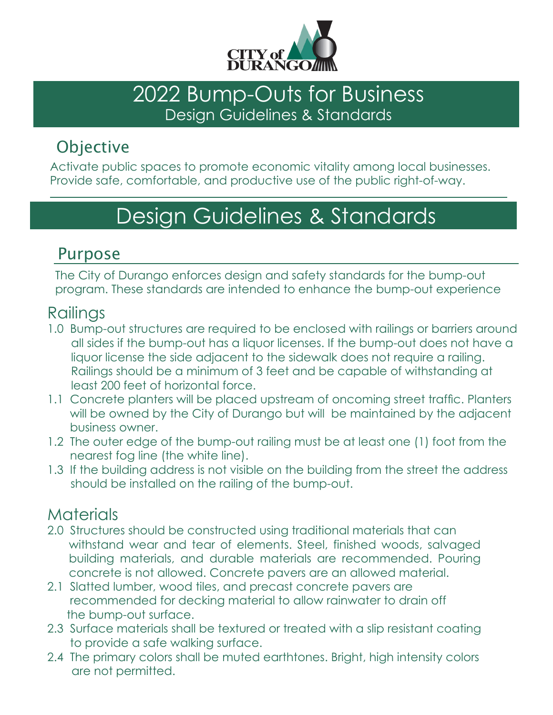

### 2022 Bump-Outs for Business Design Guidelines & Standards

## **Objective**

Activate public spaces to promote economic vitality among local businesses. Provide safe, comfortable, and productive use of the public right-of-way.

# Design Guidelines & Standards

### Purpose

The City of Durango enforces design and safety standards for the bump-out program. These standards are intended to enhance the bump-out experience

#### **Railings**

- 1.0 Bump-out structures are required to be enclosed with railings or barriers around all sides if the bump-out has a liquor licenses. If the bump-out does not have a liquor license the side adjacent to the sidewalk does not require a railing. Railings should be a minimum of 3 feet and be capable of withstanding at least 200 feet of horizontal force.
- 1.1 Concrete planters will be placed upstream of oncoming street traffic. Planters will be owned by the City of Durango but will be maintained by the adjacent business owner.
- 1.2 The outer edge of the bump-out railing must be at least one (1) foot from the nearest fog line (the white line).
- 1.3 If the building address is not visible on the building from the street the address should be installed on the railing of the bump-out.

### **Materials**

- 2.0 Structures should be constructed using traditional materials that can withstand wear and tear of elements. Steel, finished woods, salvaged building materials, and durable materials are recommended. Pouring concrete is not allowed. Concrete pavers are an allowed material.
- 2.1 Slatted lumber, wood tiles, and precast concrete pavers are recommended for decking material to allow rainwater to drain off the bump-out surface.
- 2.3 Surface materials shall be textured or treated with a slip resistant coating to provide a safe walking surface.
- 2.4 The primary colors shall be muted earthtones. Bright, high intensity colors are not permitted.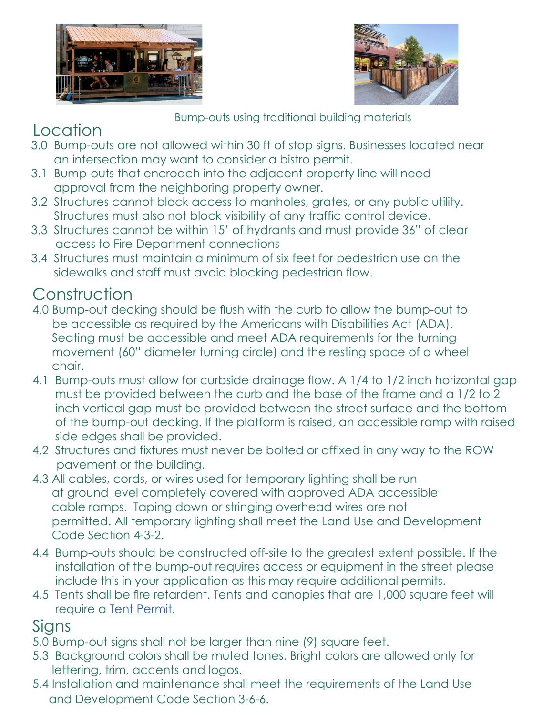



Bump-outs using traditional building materials

## Location

- 3.0 Bump-outs are not allowed within 30 ft of stop signs. Businesses located near an intersection may want to consider a bistro permit.
- 3.1 Bump-outs that encroach into the adjacent property line will need approval from the neighboring property owner.
- 3.2 Structures cannot block access to manholes, grates, or any public utility. Structures must also not block visibility of any traffic control device.
- 3.3 Structures cannot be within 15' of hydrants and must provide 36" of clear a access to Fire Department connections
- 3.4 Structures must maintain a minimum of six feet for pedestrian use on the sidewalks and staff must avoid blocking pedestrian flow.

## Construction

- 4.0 Bump-out decking should be flush with the curb to allow the bump-out to be accessible as required by the Americans with Disabilities Act (ADA). Seating must be accessible and meet ADA requirements for the turning movement (60" diameter turning circle) and the resting space of a wheel chair.
- 4.1 Bump-outs must allow for curbside drainage flow. A 1/4 to 1/2 inch horizontal gap must be provided between the curb and the base of the frame and a 1/2 to 2 inch vertical gap must be provided between the street surface and the bottom of the bump-out decking. If the platform is raised, an accessible ramp with raised side edges shall be provided.
- 4.2 Structures and fixtures must never be bolted or affixed in any way to the ROW p pavement or the building.
- 4.3 All cables, cords, or wires used for temporary lighting shall be run at ground level completely covered with approved ADA accessible cable ramps. Taping down or stringing overhead wires are not permitted. All temporary lighting shall meet the Land Use and Development Code Section 4-3-2.
- 4.4 Bump-outs should be constructed off-site to the greatest extent possible. If the installation of the bump-out requires access or equipment in the street please include this in your application as this may require additional permits.
- 4.5 Tents shall be fire retardent. Tents and canopies that are 1,000 square feet will require a [Tent Permit.](https://durangofire.org/wp-content/uploads/2021/11/2021-Tent-Application-Rev-2021-FF.pdf)

#### **Signs**

- 5.0 Bump-out signs shall not be larger than nine (9) square feet.
- 5.3 Background colors shall be muted tones. Bright colors are allowed only for lettering, trim, accents and logos.
- 5.4 Installation and maintenance shall meet the requirements of the Land Use and Development Code Section 3-6-6.